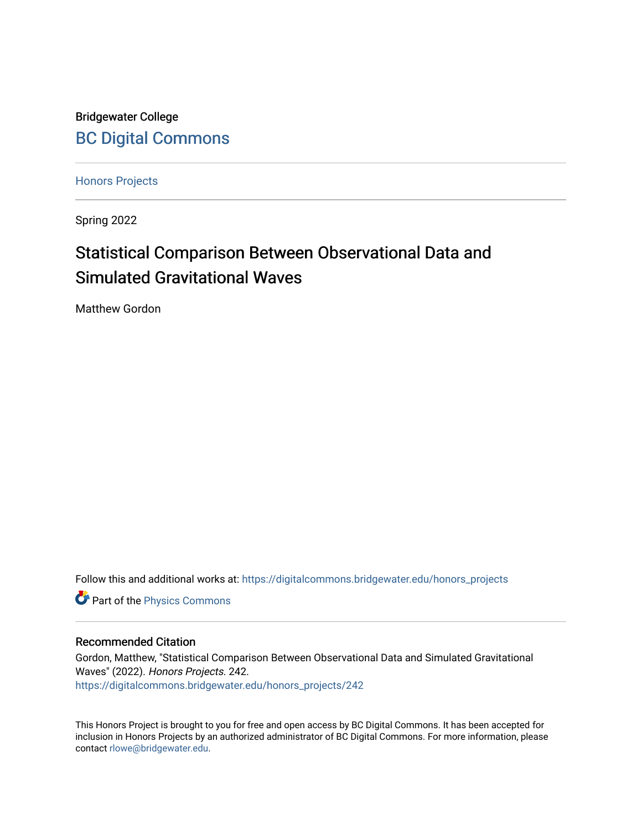Bridgewater College [BC Digital Commons](https://digitalcommons.bridgewater.edu/)

[Honors Projects](https://digitalcommons.bridgewater.edu/honors_projects) 

Spring 2022

## Statistical Comparison Between Observational Data and Simulated Gravitational Waves

Matthew Gordon

Follow this and additional works at: [https://digitalcommons.bridgewater.edu/honors\\_projects](https://digitalcommons.bridgewater.edu/honors_projects?utm_source=digitalcommons.bridgewater.edu%2Fhonors_projects%2F242&utm_medium=PDF&utm_campaign=PDFCoverPages) 

**Part of the [Physics Commons](http://network.bepress.com/hgg/discipline/193?utm_source=digitalcommons.bridgewater.edu%2Fhonors_projects%2F242&utm_medium=PDF&utm_campaign=PDFCoverPages)** 

#### Recommended Citation

Gordon, Matthew, "Statistical Comparison Between Observational Data and Simulated Gravitational Waves" (2022). Honors Projects. 242. [https://digitalcommons.bridgewater.edu/honors\\_projects/242](https://digitalcommons.bridgewater.edu/honors_projects/242?utm_source=digitalcommons.bridgewater.edu%2Fhonors_projects%2F242&utm_medium=PDF&utm_campaign=PDFCoverPages) 

This Honors Project is brought to you for free and open access by BC Digital Commons. It has been accepted for inclusion in Honors Projects by an authorized administrator of BC Digital Commons. For more information, please contact [rlowe@bridgewater.edu.](mailto:rlowe@bridgewater.edu)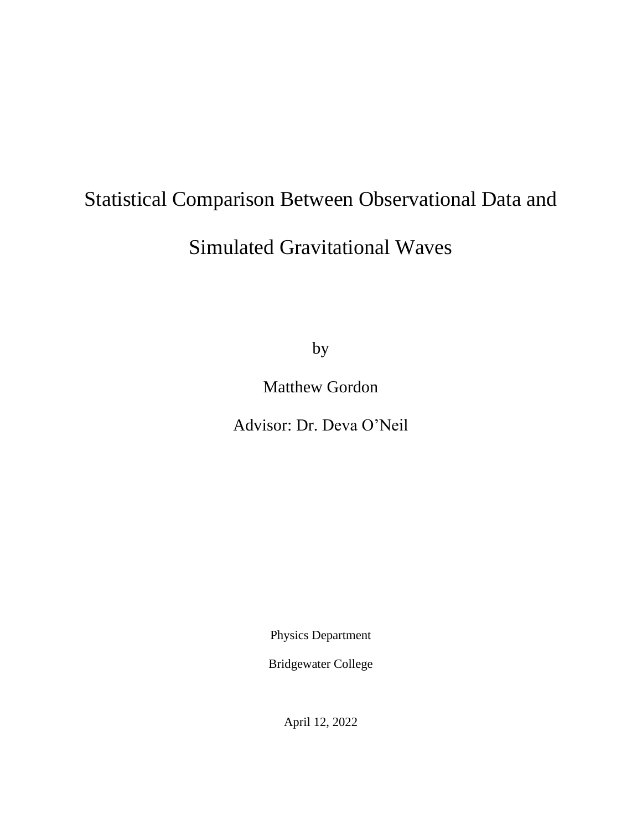# Statistical Comparison Between Observational Data and

## Simulated Gravitational Waves

by

Matthew Gordon

Advisor: Dr. Deva O'Neil

Physics Department

Bridgewater College

April 12, 2022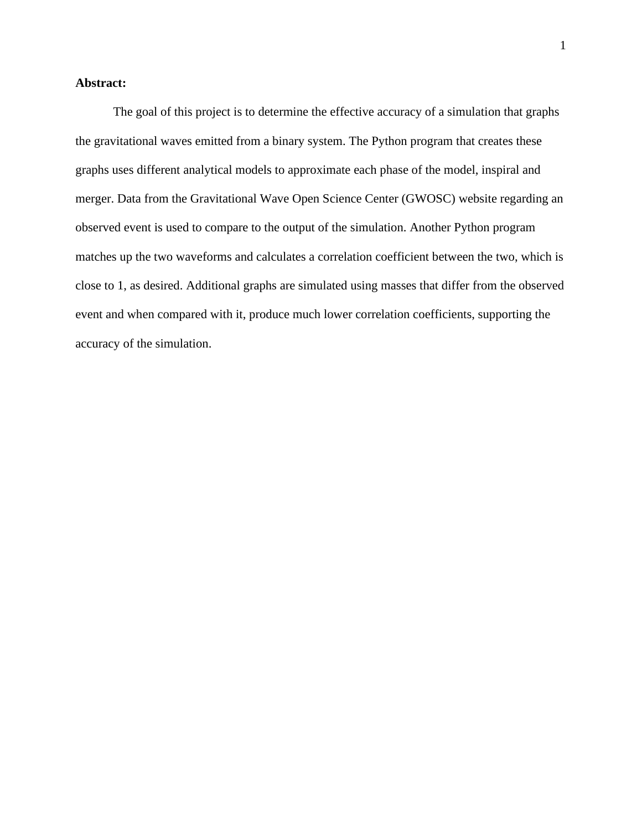#### **Abstract:**

The goal of this project is to determine the effective accuracy of a simulation that graphs the gravitational waves emitted from a binary system. The Python program that creates these graphs uses different analytical models to approximate each phase of the model, inspiral and merger. Data from the Gravitational Wave Open Science Center (GWOSC) website regarding an observed event is used to compare to the output of the simulation. Another Python program matches up the two waveforms and calculates a correlation coefficient between the two, which is close to 1, as desired. Additional graphs are simulated using masses that differ from the observed event and when compared with it, produce much lower correlation coefficients, supporting the accuracy of the simulation.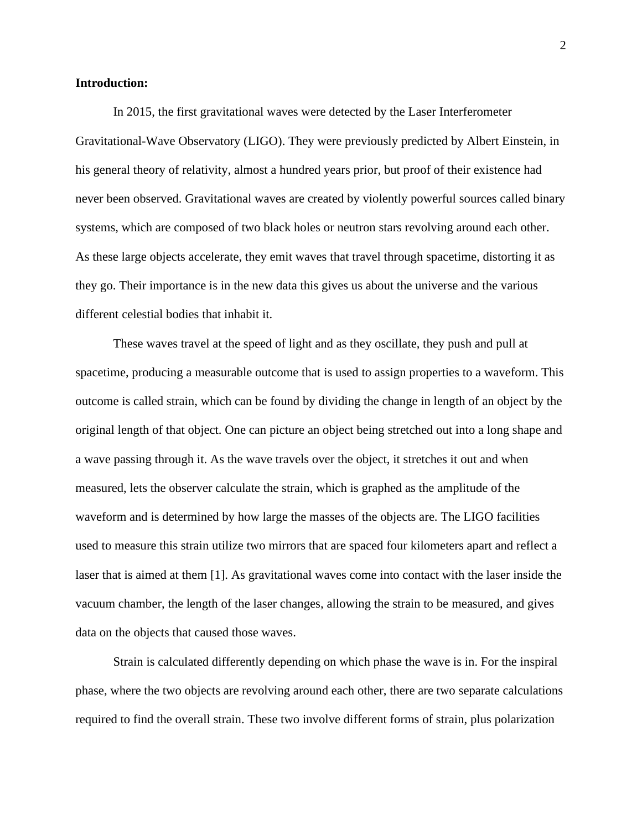#### **Introduction:**

In 2015, the first gravitational waves were detected by the Laser Interferometer Gravitational-Wave Observatory (LIGO). They were previously predicted by Albert Einstein, in his general theory of relativity, almost a hundred years prior, but proof of their existence had never been observed. Gravitational waves are created by violently powerful sources called binary systems, which are composed of two black holes or neutron stars revolving around each other. As these large objects accelerate, they emit waves that travel through spacetime, distorting it as they go. Their importance is in the new data this gives us about the universe and the various different celestial bodies that inhabit it.

These waves travel at the speed of light and as they oscillate, they push and pull at spacetime, producing a measurable outcome that is used to assign properties to a waveform. This outcome is called strain, which can be found by dividing the change in length of an object by the original length of that object. One can picture an object being stretched out into a long shape and a wave passing through it. As the wave travels over the object, it stretches it out and when measured, lets the observer calculate the strain, which is graphed as the amplitude of the waveform and is determined by how large the masses of the objects are. The LIGO facilities used to measure this strain utilize two mirrors that are spaced four kilometers apart and reflect a laser that is aimed at them [1]. As gravitational waves come into contact with the laser inside the vacuum chamber, the length of the laser changes, allowing the strain to be measured, and gives data on the objects that caused those waves.

Strain is calculated differently depending on which phase the wave is in. For the inspiral phase, where the two objects are revolving around each other, there are two separate calculations required to find the overall strain. These two involve different forms of strain, plus polarization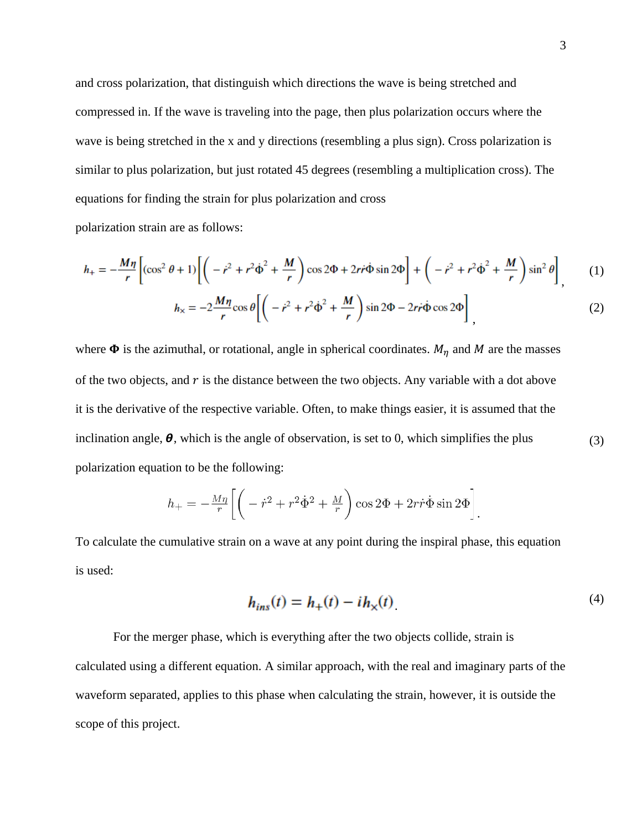and cross polarization, that distinguish which directions the wave is being stretched and compressed in. If the wave is traveling into the page, then plus polarization occurs where the wave is being stretched in the x and y directions (resembling a plus sign). Cross polarization is similar to plus polarization, but just rotated 45 degrees (resembling a multiplication cross). The equations for finding the strain for plus polarization and cross

polarization strain are as follows:

$$
h_{+} = -\frac{M\eta}{r} \left[ (\cos^2\theta + 1) \left[ \left( -\dot{r}^2 + r^2 \dot{\Phi}^2 + \frac{M}{r} \right) \cos 2\Phi + 2r\dot{r}\dot{\Phi}\sin 2\Phi \right] + \left( -\dot{r}^2 + r^2 \dot{\Phi}^2 + \frac{M}{r} \right) \sin^2\theta \right],
$$
 (1)

$$
h_{\times} = -2\frac{M\eta}{r}\cos\theta \left[ \left( -\dot{r}^2 + r^2\dot{\Phi}^2 + \frac{M}{r} \right) \sin 2\Phi - 2r\dot{r}\dot{\Phi}\cos 2\Phi \right],
$$
 (2)

where  $\Phi$  is the azimuthal, or rotational, angle in spherical coordinates.  $M_n$  and M are the masses of the two objects, and  $r$  is the distance between the two objects. Any variable with a dot above it is the derivative of the respective variable. Often, to make things easier, it is assumed that the inclination angle,  $\theta$ , which is the angle of observation, is set to 0, which simplifies the plus polarization equation to be the following:

$$
h_{+} = -\frac{M\eta}{r} \left[ \left( -\dot{r}^2 + r^2 \dot{\Phi}^2 + \frac{M}{r} \right) \cos 2\Phi + 2r \dot{r} \dot{\Phi} \sin 2\Phi \right].
$$

To calculate the cumulative strain on a wave at any point during the inspiral phase, this equation is used:

$$
h_{ins}(t) = h_{+}(t) - ih_{\times}(t)
$$
\n<sup>(4)</sup>

For the merger phase, which is everything after the two objects collide, strain is calculated using a different equation. A similar approach, with the real and imaginary parts of the waveform separated, applies to this phase when calculating the strain, however, it is outside the scope of this project.

(3)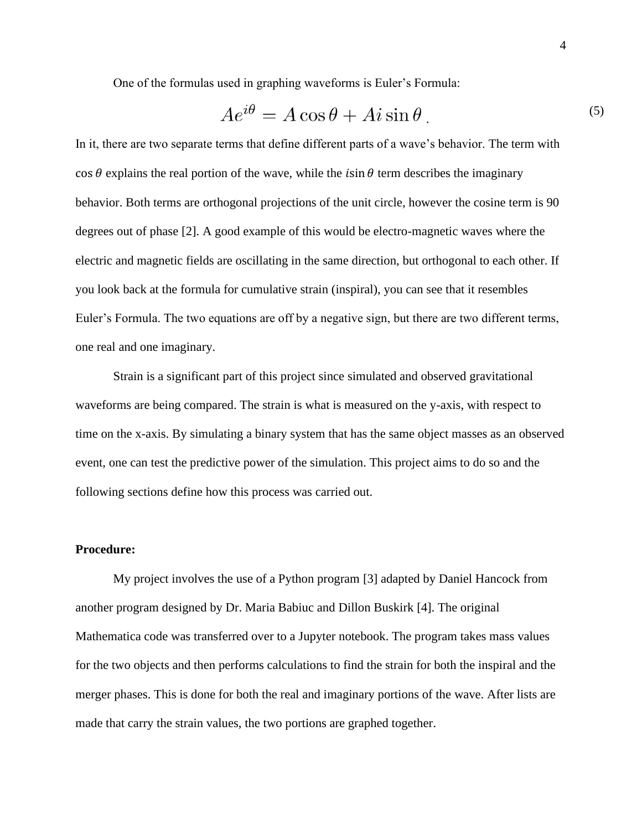One of the formulas used in graphing waveforms is Euler's Formula:

$$
Ae^{i\theta} = A\cos\theta + Ai\sin\theta
$$
 (5)

In it, there are two separate terms that define different parts of a wave's behavior. The term with  $\cos \theta$  explains the real portion of the wave, while the isin  $\theta$  term describes the imaginary behavior. Both terms are orthogonal projections of the unit circle, however the cosine term is 90 degrees out of phase [2]. A good example of this would be electro-magnetic waves where the electric and magnetic fields are oscillating in the same direction, but orthogonal to each other. If you look back at the formula for cumulative strain (inspiral), you can see that it resembles Euler's Formula. The two equations are off by a negative sign, but there are two different terms, one real and one imaginary.

Strain is a significant part of this project since simulated and observed gravitational waveforms are being compared. The strain is what is measured on the y-axis, with respect to time on the x-axis. By simulating a binary system that has the same object masses as an observed event, one can test the predictive power of the simulation. This project aims to do so and the following sections define how this process was carried out.

#### **Procedure:**

My project involves the use of a Python program [3] adapted by Daniel Hancock from another program designed by Dr. Maria Babiuc and Dillon Buskirk [4]. The original Mathematica code was transferred over to a Jupyter notebook. The program takes mass values for the two objects and then performs calculations to find the strain for both the inspiral and the merger phases. This is done for both the real and imaginary portions of the wave. After lists are made that carry the strain values, the two portions are graphed together.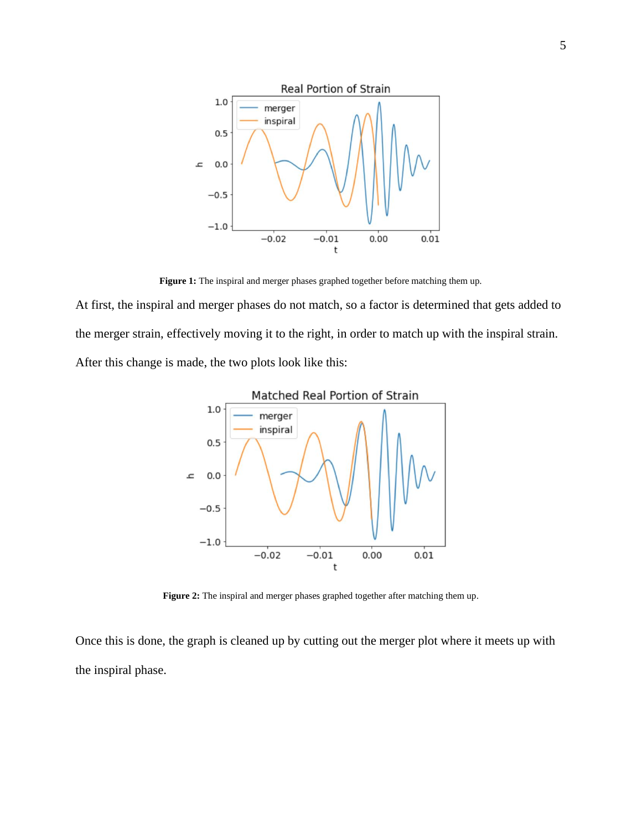

**Figure 1:** The inspiral and merger phases graphed together before matching them up.

At first, the inspiral and merger phases do not match, so a factor is determined that gets added to the merger strain, effectively moving it to the right, in order to match up with the inspiral strain. After this change is made, the two plots look like this:



**Figure 2:** The inspiral and merger phases graphed together after matching them up.

Once this is done, the graph is cleaned up by cutting out the merger plot where it meets up with the inspiral phase.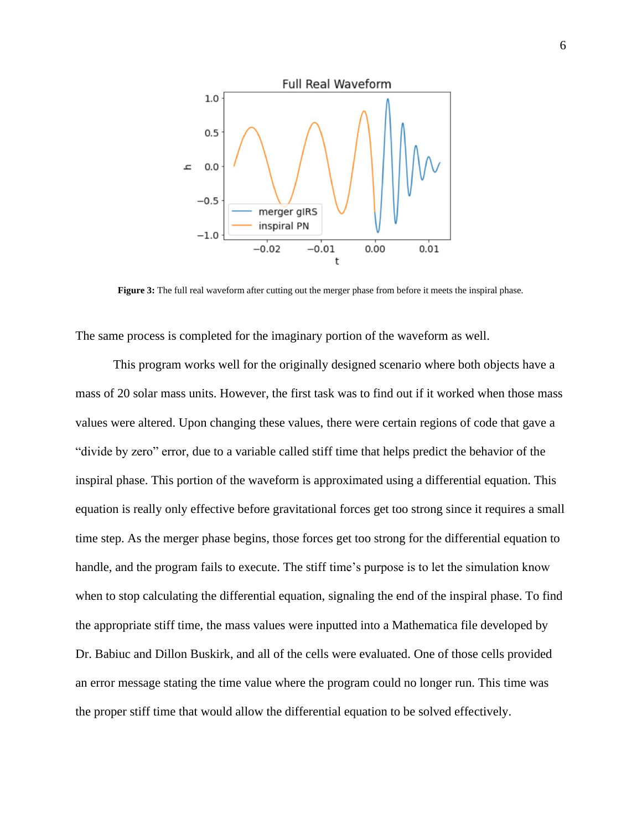

**Figure 3:** The full real waveform after cutting out the merger phase from before it meets the inspiral phase.

The same process is completed for the imaginary portion of the waveform as well.

This program works well for the originally designed scenario where both objects have a mass of 20 solar mass units. However, the first task was to find out if it worked when those mass values were altered. Upon changing these values, there were certain regions of code that gave a "divide by zero" error, due to a variable called stiff time that helps predict the behavior of the inspiral phase. This portion of the waveform is approximated using a differential equation. This equation is really only effective before gravitational forces get too strong since it requires a small time step. As the merger phase begins, those forces get too strong for the differential equation to handle, and the program fails to execute. The stiff time's purpose is to let the simulation know when to stop calculating the differential equation, signaling the end of the inspiral phase. To find the appropriate stiff time, the mass values were inputted into a Mathematica file developed by Dr. Babiuc and Dillon Buskirk, and all of the cells were evaluated. One of those cells provided an error message stating the time value where the program could no longer run. This time was the proper stiff time that would allow the differential equation to be solved effectively.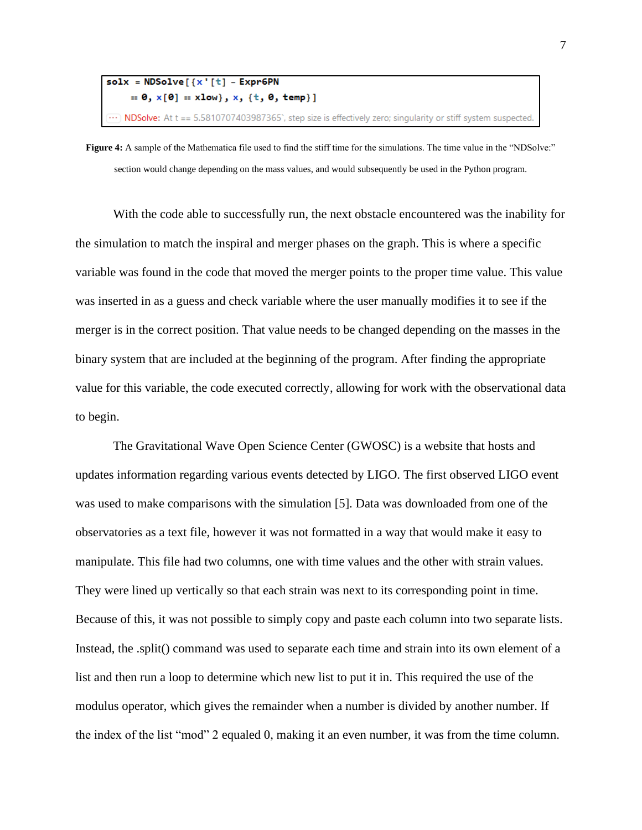### $solv = NDSolve[{x' [t] - Expr6PN}$ = 0, x[0] = xlow}, x, {t, 0, temp}] (10) NDSolve: At t == 5.5810707403987365', step size is effectively zero; singularity or stiff system suspected.

**Figure 4:** A sample of the Mathematica file used to find the stiff time for the simulations. The time value in the "NDSolve:" section would change depending on the mass values, and would subsequently be used in the Python program.

With the code able to successfully run, the next obstacle encountered was the inability for the simulation to match the inspiral and merger phases on the graph. This is where a specific variable was found in the code that moved the merger points to the proper time value. This value was inserted in as a guess and check variable where the user manually modifies it to see if the merger is in the correct position. That value needs to be changed depending on the masses in the binary system that are included at the beginning of the program. After finding the appropriate value for this variable, the code executed correctly, allowing for work with the observational data to begin.

The Gravitational Wave Open Science Center (GWOSC) is a website that hosts and updates information regarding various events detected by LIGO. The first observed LIGO event was used to make comparisons with the simulation [5]. Data was downloaded from one of the observatories as a text file, however it was not formatted in a way that would make it easy to manipulate. This file had two columns, one with time values and the other with strain values. They were lined up vertically so that each strain was next to its corresponding point in time. Because of this, it was not possible to simply copy and paste each column into two separate lists. Instead, the .split() command was used to separate each time and strain into its own element of a list and then run a loop to determine which new list to put it in. This required the use of the modulus operator, which gives the remainder when a number is divided by another number. If the index of the list "mod" 2 equaled 0, making it an even number, it was from the time column.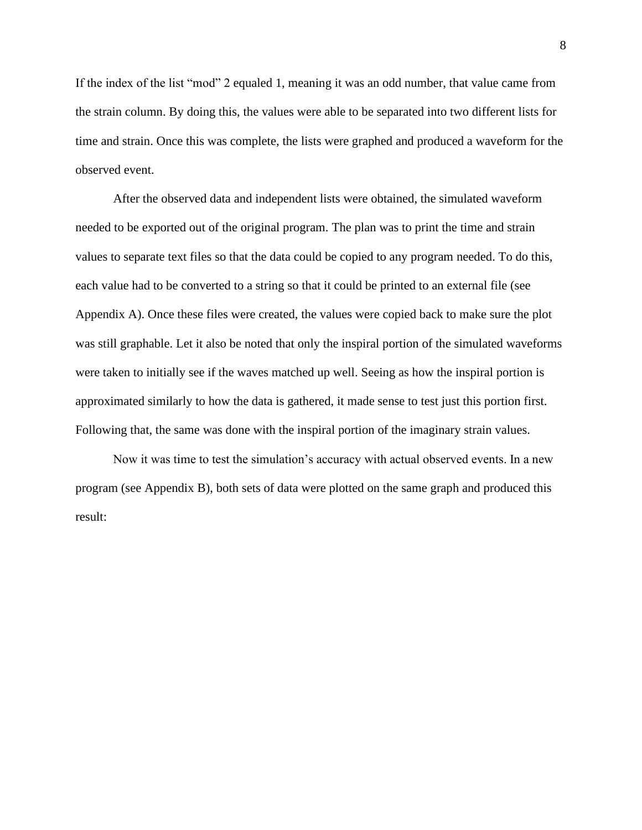If the index of the list "mod" 2 equaled 1, meaning it was an odd number, that value came from the strain column. By doing this, the values were able to be separated into two different lists for time and strain. Once this was complete, the lists were graphed and produced a waveform for the observed event.

After the observed data and independent lists were obtained, the simulated waveform needed to be exported out of the original program. The plan was to print the time and strain values to separate text files so that the data could be copied to any program needed. To do this, each value had to be converted to a string so that it could be printed to an external file (see Appendix A). Once these files were created, the values were copied back to make sure the plot was still graphable. Let it also be noted that only the inspiral portion of the simulated waveforms were taken to initially see if the waves matched up well. Seeing as how the inspiral portion is approximated similarly to how the data is gathered, it made sense to test just this portion first. Following that, the same was done with the inspiral portion of the imaginary strain values.

Now it was time to test the simulation's accuracy with actual observed events. In a new program (see Appendix B), both sets of data were plotted on the same graph and produced this result: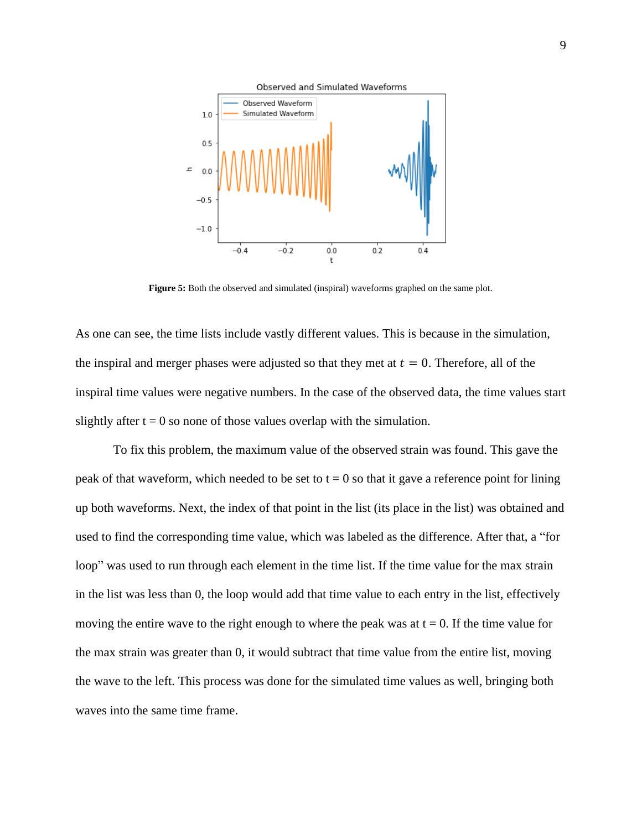

**Figure 5:** Both the observed and simulated (inspiral) waveforms graphed on the same plot.

As one can see, the time lists include vastly different values. This is because in the simulation, the inspiral and merger phases were adjusted so that they met at  $t = 0$ . Therefore, all of the inspiral time values were negative numbers. In the case of the observed data, the time values start slightly after  $t = 0$  so none of those values overlap with the simulation.

To fix this problem, the maximum value of the observed strain was found. This gave the peak of that waveform, which needed to be set to  $t = 0$  so that it gave a reference point for lining up both waveforms. Next, the index of that point in the list (its place in the list) was obtained and used to find the corresponding time value, which was labeled as the difference. After that, a "for loop" was used to run through each element in the time list. If the time value for the max strain in the list was less than 0, the loop would add that time value to each entry in the list, effectively moving the entire wave to the right enough to where the peak was at  $t = 0$ . If the time value for the max strain was greater than 0, it would subtract that time value from the entire list, moving the wave to the left. This process was done for the simulated time values as well, bringing both waves into the same time frame.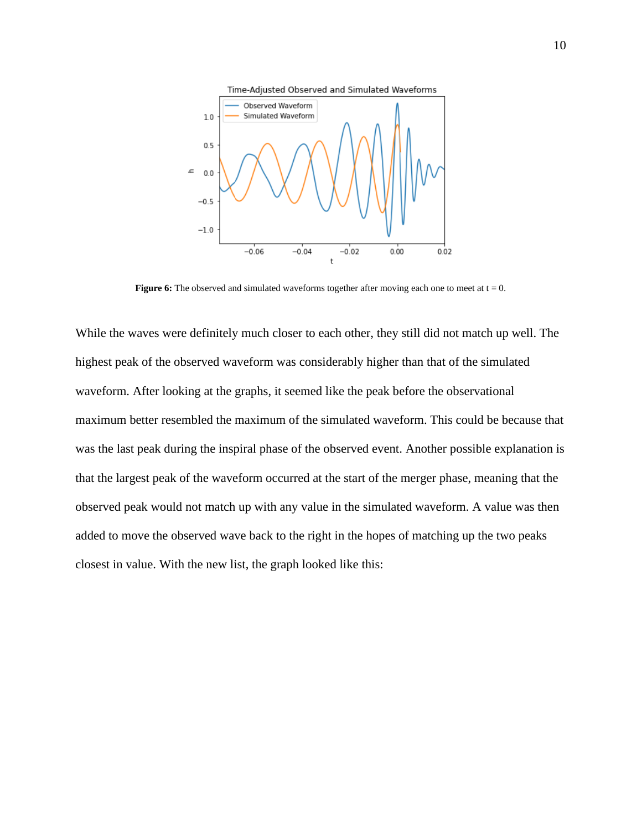

**Figure 6:** The observed and simulated waveforms together after moving each one to meet at  $t = 0$ .

While the waves were definitely much closer to each other, they still did not match up well. The highest peak of the observed waveform was considerably higher than that of the simulated waveform. After looking at the graphs, it seemed like the peak before the observational maximum better resembled the maximum of the simulated waveform. This could be because that was the last peak during the inspiral phase of the observed event. Another possible explanation is that the largest peak of the waveform occurred at the start of the merger phase, meaning that the observed peak would not match up with any value in the simulated waveform. A value was then added to move the observed wave back to the right in the hopes of matching up the two peaks closest in value. With the new list, the graph looked like this: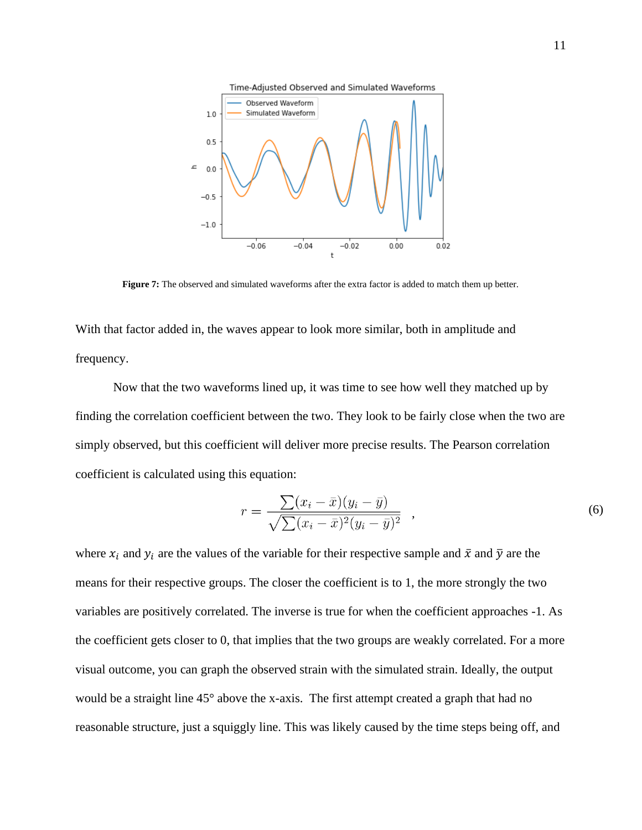

**Figure 7:** The observed and simulated waveforms after the extra factor is added to match them up better.

With that factor added in, the waves appear to look more similar, both in amplitude and frequency.

Now that the two waveforms lined up, it was time to see how well they matched up by finding the correlation coefficient between the two. They look to be fairly close when the two are simply observed, but this coefficient will deliver more precise results. The Pearson correlation coefficient is calculated using this equation:

$$
r = \frac{\sum (x_i - \bar{x})(y_i - \bar{y})}{\sqrt{\sum (x_i - \bar{x})^2 (y_i - \bar{y})^2}},
$$
\n(6)

where  $x_i$  and  $y_i$  are the values of the variable for their respective sample and  $\bar{x}$  and  $\bar{y}$  are the means for their respective groups. The closer the coefficient is to 1, the more strongly the two variables are positively correlated. The inverse is true for when the coefficient approaches -1. As the coefficient gets closer to 0, that implies that the two groups are weakly correlated. For a more visual outcome, you can graph the observed strain with the simulated strain. Ideally, the output would be a straight line  $45^{\circ}$  above the x-axis. The first attempt created a graph that had no reasonable structure, just a squiggly line. This was likely caused by the time steps being off, and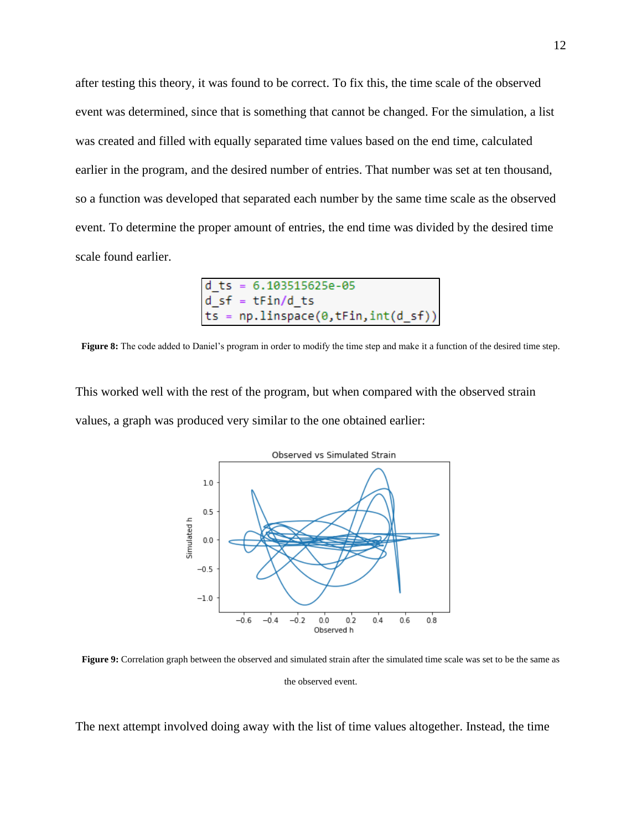after testing this theory, it was found to be correct. To fix this, the time scale of the observed event was determined, since that is something that cannot be changed. For the simulation, a list was created and filled with equally separated time values based on the end time, calculated earlier in the program, and the desired number of entries. That number was set at ten thousand, so a function was developed that separated each number by the same time scale as the observed event. To determine the proper amount of entries, the end time was divided by the desired time scale found earlier.

```
6.103515625e-05
 tFin/d ts
np.linspace(0,tFin,int(d sf)
```
**Figure 8:** The code added to Daniel's program in order to modify the time step and make it a function of the desired time step.

This worked well with the rest of the program, but when compared with the observed strain values, a graph was produced very similar to the one obtained earlier:



**Figure 9:** Correlation graph between the observed and simulated strain after the simulated time scale was set to be the same as the observed event.

The next attempt involved doing away with the list of time values altogether. Instead, the time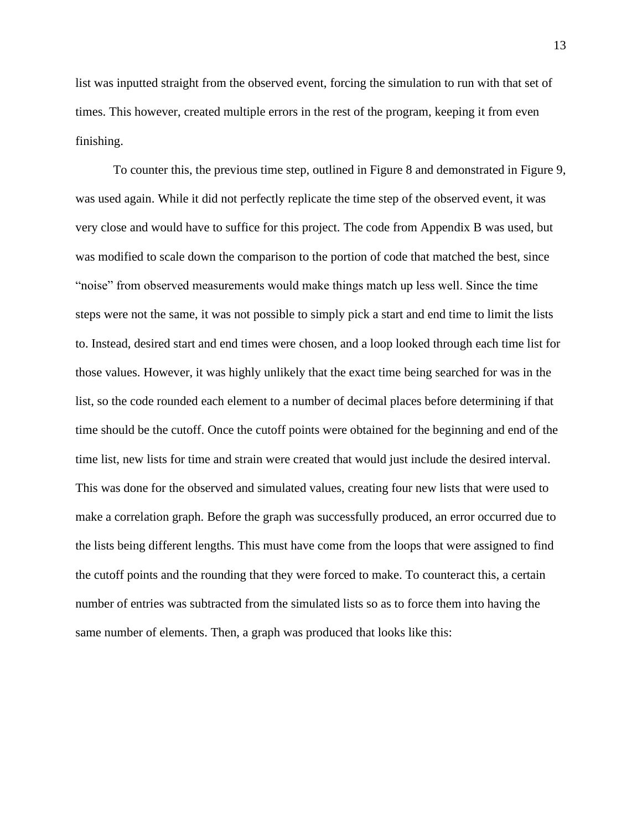list was inputted straight from the observed event, forcing the simulation to run with that set of times. This however, created multiple errors in the rest of the program, keeping it from even finishing.

To counter this, the previous time step, outlined in Figure 8 and demonstrated in Figure 9, was used again. While it did not perfectly replicate the time step of the observed event, it was very close and would have to suffice for this project. The code from Appendix B was used, but was modified to scale down the comparison to the portion of code that matched the best, since "noise" from observed measurements would make things match up less well. Since the time steps were not the same, it was not possible to simply pick a start and end time to limit the lists to. Instead, desired start and end times were chosen, and a loop looked through each time list for those values. However, it was highly unlikely that the exact time being searched for was in the list, so the code rounded each element to a number of decimal places before determining if that time should be the cutoff. Once the cutoff points were obtained for the beginning and end of the time list, new lists for time and strain were created that would just include the desired interval. This was done for the observed and simulated values, creating four new lists that were used to make a correlation graph. Before the graph was successfully produced, an error occurred due to the lists being different lengths. This must have come from the loops that were assigned to find the cutoff points and the rounding that they were forced to make. To counteract this, a certain number of entries was subtracted from the simulated lists so as to force them into having the same number of elements. Then, a graph was produced that looks like this: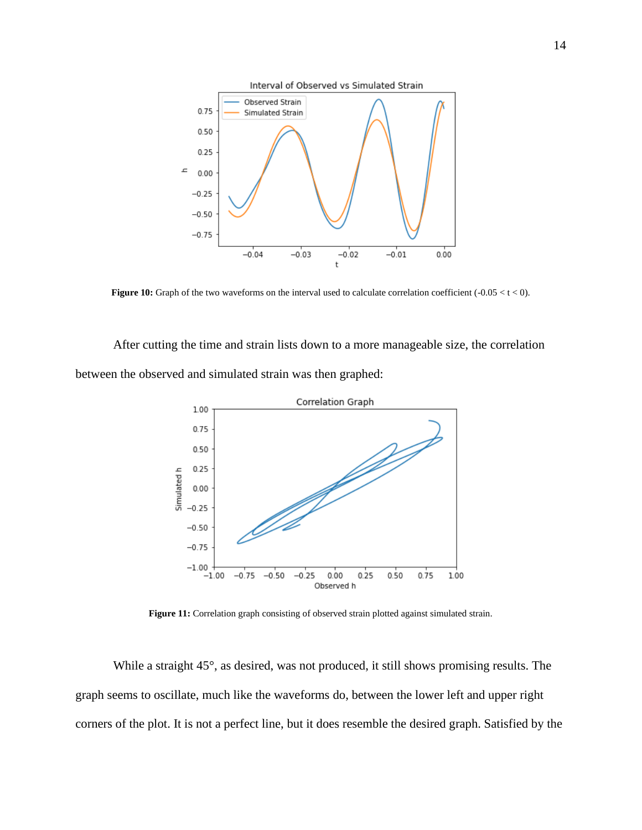

**Figure 10:** Graph of the two waveforms on the interval used to calculate correlation coefficient (-0.05 < t < 0).

After cutting the time and strain lists down to a more manageable size, the correlation between the observed and simulated strain was then graphed:



Figure 11: Correlation graph consisting of observed strain plotted against simulated strain.

While a straight 45°, as desired, was not produced, it still shows promising results. The graph seems to oscillate, much like the waveforms do, between the lower left and upper right corners of the plot. It is not a perfect line, but it does resemble the desired graph. Satisfied by the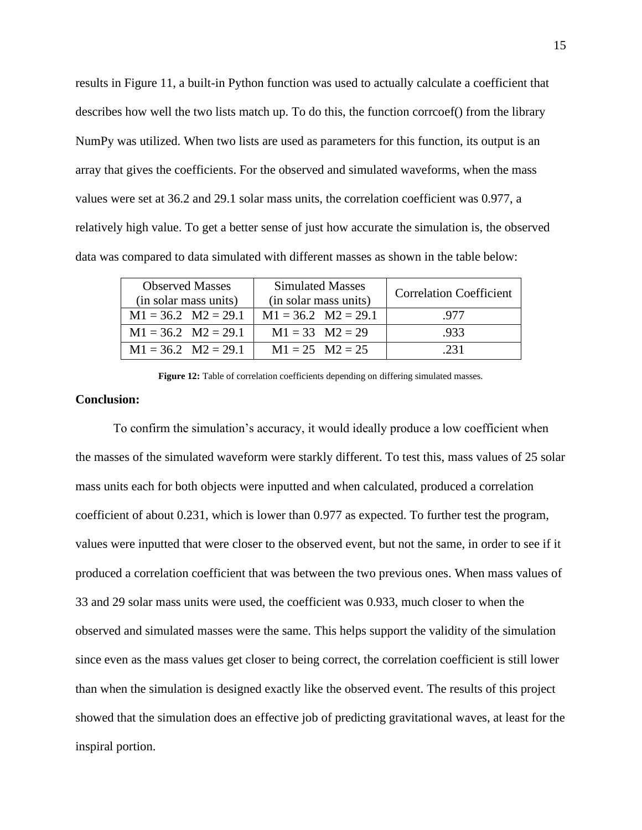results in Figure 11, a built-in Python function was used to actually calculate a coefficient that describes how well the two lists match up. To do this, the function corrcoef() from the library NumPy was utilized. When two lists are used as parameters for this function, its output is an array that gives the coefficients. For the observed and simulated waveforms, when the mass values were set at 36.2 and 29.1 solar mass units, the correlation coefficient was 0.977, a relatively high value. To get a better sense of just how accurate the simulation is, the observed data was compared to data simulated with different masses as shown in the table below:

| <b>Observed Masses</b><br>(in solar mass units) | <b>Simulated Masses</b><br>(in solar mass units) | <b>Correlation Coefficient</b> |
|-------------------------------------------------|--------------------------------------------------|--------------------------------|
| $M1 = 36.2$ $M2 = 29.1$                         | $M1 = 36.2$ $M2 = 29.1$                          | -977                           |
| $M1 = 36.2$ $M2 = 29.1$                         | $M1 = 33$ $M2 = 29$                              | .933                           |
| $M1 = 36.2$ $M2 = 29.1$                         | $M1 = 25$ $M2 = 25$                              | .231                           |

Figure 12: Table of correlation coefficients depending on differing simulated masses.

#### **Conclusion:**

To confirm the simulation's accuracy, it would ideally produce a low coefficient when the masses of the simulated waveform were starkly different. To test this, mass values of 25 solar mass units each for both objects were inputted and when calculated, produced a correlation coefficient of about 0.231, which is lower than 0.977 as expected. To further test the program, values were inputted that were closer to the observed event, but not the same, in order to see if it produced a correlation coefficient that was between the two previous ones. When mass values of 33 and 29 solar mass units were used, the coefficient was 0.933, much closer to when the observed and simulated masses were the same. This helps support the validity of the simulation since even as the mass values get closer to being correct, the correlation coefficient is still lower than when the simulation is designed exactly like the observed event. The results of this project showed that the simulation does an effective job of predicting gravitational waves, at least for the inspiral portion.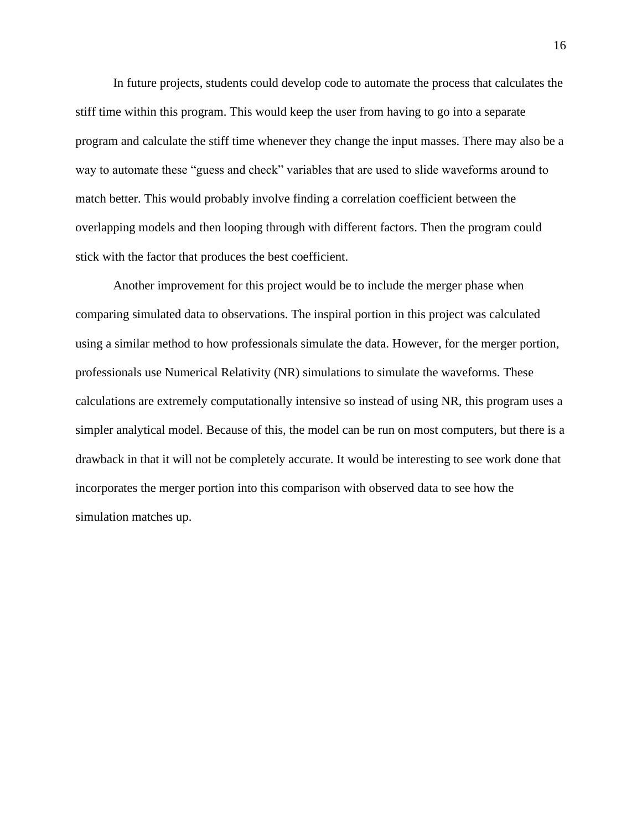In future projects, students could develop code to automate the process that calculates the stiff time within this program. This would keep the user from having to go into a separate program and calculate the stiff time whenever they change the input masses. There may also be a way to automate these "guess and check" variables that are used to slide waveforms around to match better. This would probably involve finding a correlation coefficient between the overlapping models and then looping through with different factors. Then the program could stick with the factor that produces the best coefficient.

Another improvement for this project would be to include the merger phase when comparing simulated data to observations. The inspiral portion in this project was calculated using a similar method to how professionals simulate the data. However, for the merger portion, professionals use Numerical Relativity (NR) simulations to simulate the waveforms. These calculations are extremely computationally intensive so instead of using NR, this program uses a simpler analytical model. Because of this, the model can be run on most computers, but there is a drawback in that it will not be completely accurate. It would be interesting to see work done that incorporates the merger portion into this comparison with observed data to see how the simulation matches up.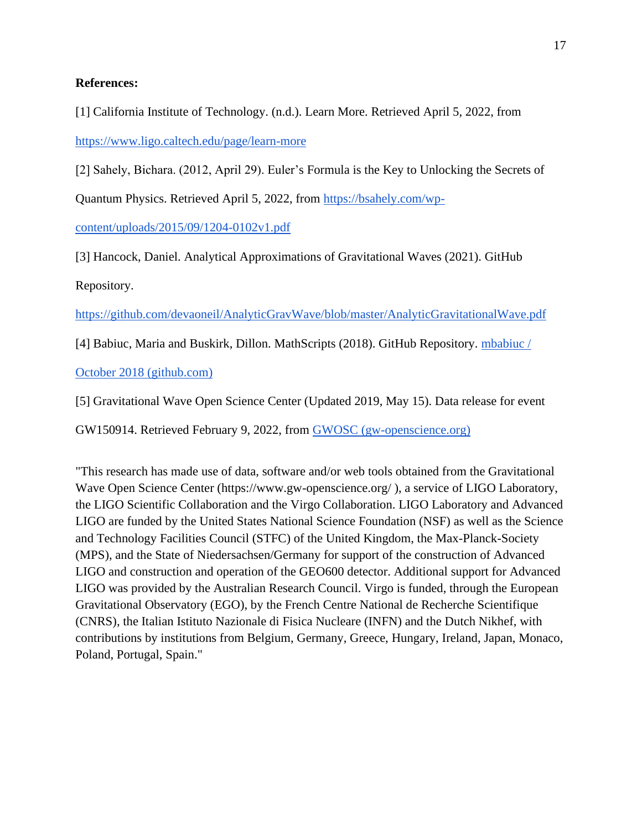#### **References:**

[1] California Institute of Technology. (n.d.). Learn More. Retrieved April 5, 2022, from

<https://www.ligo.caltech.edu/page/learn-more>

[2] Sahely, Bichara. (2012, April 29). Euler's Formula is the Key to Unlocking the Secrets of

Quantum Physics. Retrieved April 5, 2022, from [https://bsahely.com/wp-](https://bsahely.com/wp-content/uploads/2015/09/1204-0102v1.pdf)

[content/uploads/2015/09/1204-0102v1.pdf](https://bsahely.com/wp-content/uploads/2015/09/1204-0102v1.pdf)

[3] Hancock, Daniel. Analytical Approximations of Gravitational Waves (2021). GitHub

Repository.

<https://github.com/devaoneil/AnalyticGravWave/blob/master/AnalyticGravitationalWave.pdf>

[4] Babiuc, Maria and Buskirk, Dillon. MathScripts (2018). GitHub Repository. [mbabiuc /](https://github.com/mbabiuc?tab=overview&from=2018-10-01&to=2018-10-31) 

[October 2018 \(github.com\)](https://github.com/mbabiuc?tab=overview&from=2018-10-01&to=2018-10-31)

[5] Gravitational Wave Open Science Center (Updated 2019, May 15). Data release for event

GW150914. Retrieved February 9, 2022, from [GWOSC \(gw-openscience.org\)](https://www.gw-openscience.org/events/GW150914/)

"This research has made use of data, software and/or web tools obtained from the Gravitational Wave Open Science Center (https://www.gw-openscience.org/ ), a service of LIGO Laboratory, the LIGO Scientific Collaboration and the Virgo Collaboration. LIGO Laboratory and Advanced LIGO are funded by the United States National Science Foundation (NSF) as well as the Science and Technology Facilities Council (STFC) of the United Kingdom, the Max-Planck-Society (MPS), and the State of Niedersachsen/Germany for support of the construction of Advanced LIGO and construction and operation of the GEO600 detector. Additional support for Advanced LIGO was provided by the Australian Research Council. Virgo is funded, through the European Gravitational Observatory (EGO), by the French Centre National de Recherche Scientifique (CNRS), the Italian Istituto Nazionale di Fisica Nucleare (INFN) and the Dutch Nikhef, with contributions by institutions from Belgium, Germany, Greece, Hungary, Ireland, Japan, Monaco, Poland, Portugal, Spain."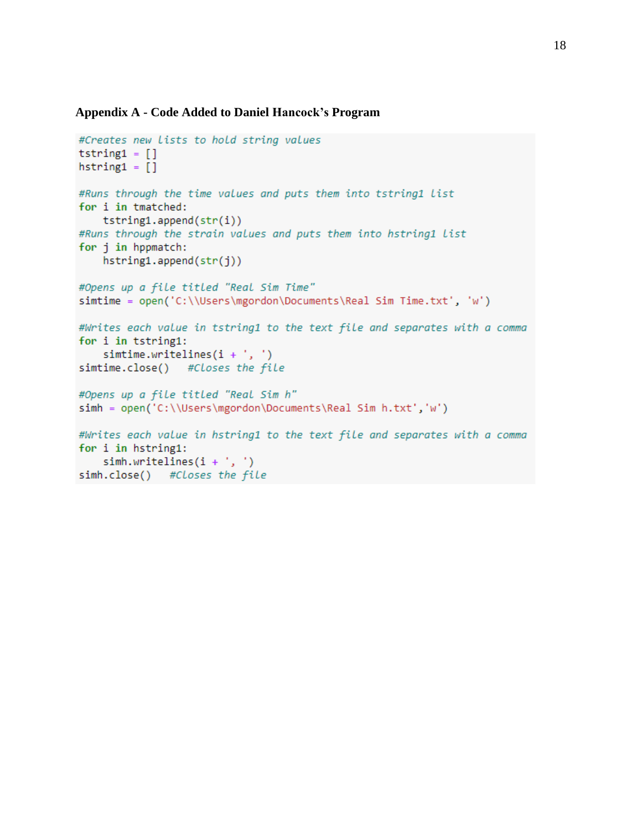#### **Appendix A - Code Added to Daniel Hancock's Program**

```
#Creates new lists to hold string values
tstring1 = []hstring1 = []#Runs through the time values and puts them into tstring1 list
for i in tmatched:
   tstring1.append(str(i))#Runs through the strain values and puts them into hstring1 list
for j in hppmatch:
    hstring1.append(str(j))#Opens up a file titled "Real Sim Time"
simtime = open('C:\\Users\mgordon\Documents\Real Sim Time.txt', 'w')
#Writes each value in tstring1 to the text file and separates with a comma
for i in tstring1:
    simtime.writelines(i + ', '')simtime.close() #Closes the file
#Opens up a file titled "Real Sim h"
simh = open('C:\\Users\mgordon\Documents\Real Sim h.txt','w')
#Writes each value in hstring1 to the text file and separates with a comma
for i in hstring1:
    simh.writelines(i + ', ')simh.close() #Closes the file
```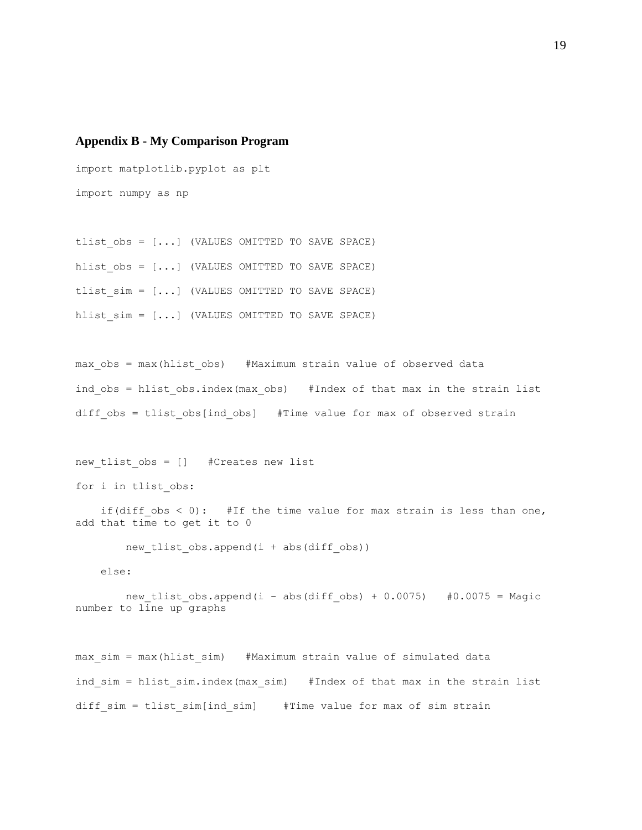#### **Appendix B - My Comparison Program**

import matplotlib.pyplot as plt import numpy as np

tlist  $obs = [...]$  (VALUES OMITTED TO SAVE SPACE) hlist  $obs = [...]$  (VALUES OMITTED TO SAVE SPACE) tlist  $sim = [...]$  (VALUES OMITTED TO SAVE SPACE) hlist  $sim = [...]$  (VALUES OMITTED TO SAVE SPACE)

max\_obs = max(hlist\_obs) #Maximum strain value of observed data ind obs = hlist obs.index(max obs) #Index of that max in the strain list diff\_obs = tlist\_obs[ind\_obs] #Time value for max of observed strain

new tlist  $obs = []$  #Creates new list

for i in tlist\_obs:

if(diff  $obs < 0$ ): #If the time value for max strain is less than one, add that time to get it to 0

new tlist obs.append(i + abs(diff obs))

else:

new tlist obs.append(i - abs(diff obs) + 0.0075) #0.0075 = Magic number to line up graphs

```
max sim = max(hlist sim) #Maximum strain value of simulated data
ind sim = hlist sim.index(max sim) #Index of that max in the strain list
diff sim = tlist sim[ind sim] #Time value for max of sim strain
```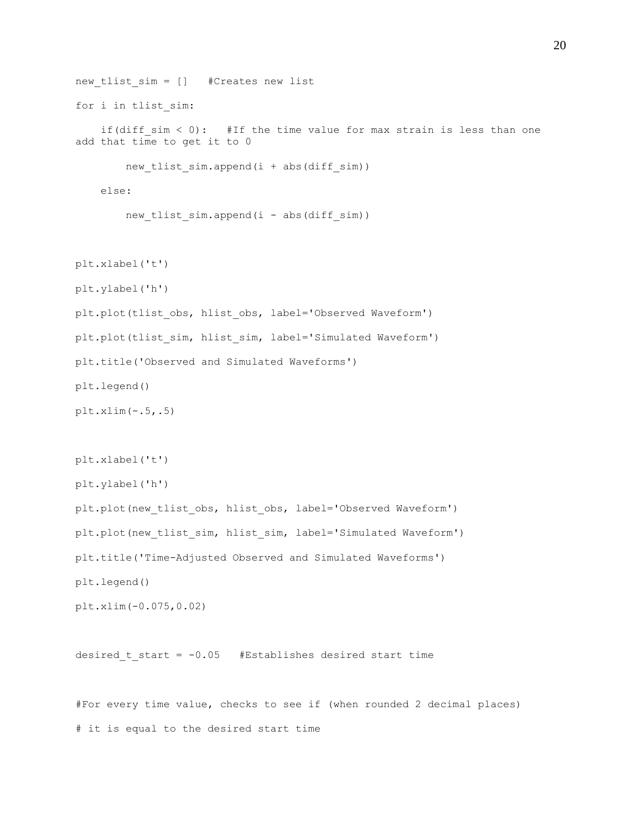```
new tlist sim = [] #Creates new list
for i in tlist sim:
    if(diff sim < 0): #If the time value for max strain is less than one
add that time to get it to 0
         new_tlist_sim.append(i + abs(diff_sim))
     else:
         new_tlist_sim.append(i - abs(diff_sim))
plt.xlabel('t')
plt.ylabel('h')
plt.plot(tlist obs, hlist obs, label='Observed Waveform')
plt.plot(tlist sim, hlist sim, label='Simulated Waveform')
plt.title('Observed and Simulated Waveforms')
plt.legend()
plt.xlim(-.5,.5)
plt.xlabel('t')
plt.ylabel('h')
plt.plot(new tlist obs, hlist obs, label='Observed Waveform')
plt.plot(new tlist sim, hlist sim, label='Simulated Waveform')
plt.title('Time-Adjusted Observed and Simulated Waveforms')
plt.legend()
plt.xlim(-0.075,0.02)
desired t start = -0.05 #Establishes desired start time
```
#For every time value, checks to see if (when rounded 2 decimal places) # it is equal to the desired start time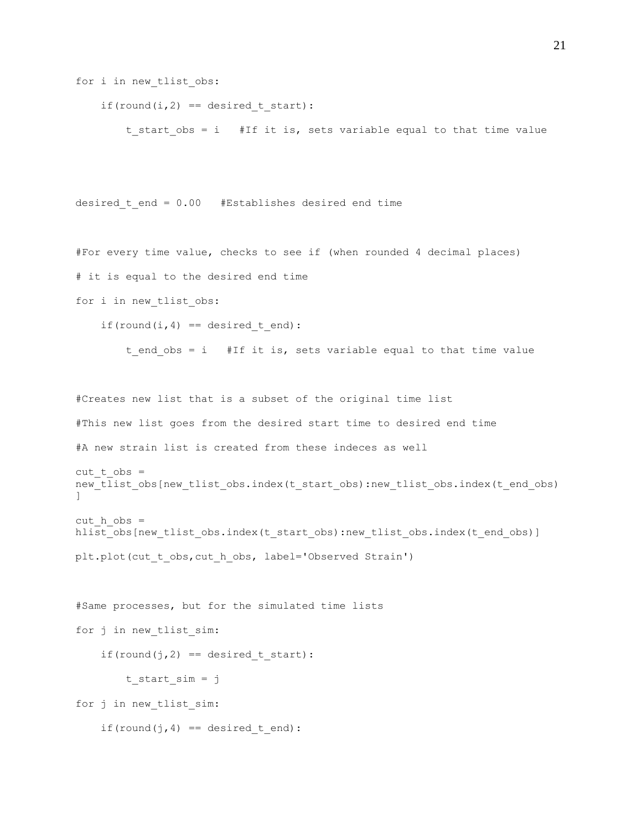```
for i in new tlist obs:
    if(round(i,2) == desired t start):
        t start obs = i #If it is, sets variable equal to that time value
```
desired t end =  $0.00$  #Establishes desired end time

```
#For every time value, checks to see if (when rounded 4 decimal places)
# it is equal to the desired end time
for i in new tlist obs:
    if(round(i,4) == desired t end):
        t end obs = i #If it is, sets variable equal to that time value
#Creates new list that is a subset of the original time list
#This new list goes from the desired start time to desired end time
#A new strain list is created from these indeces as well
```

```
cut t obs =new tlist obs[new tlist obs.index(t start obs):new tlist obs.index(t end obs)
]
```

```
cut h obs =
hlist<sup>-</sup>obs[new_tlist_obs.index(t_start_obs):new_tlist_obs.index(t_end_obs)]
plt.plot(cut t obs, cut h obs, label='Observed Strain')
```
#Same processes, but for the simulated time lists for j in new tlist sim: if(round(j,2) == desired t start): t start sim =  $j$ 

for j in new tlist sim:

if(round(j,4) == desired t end):